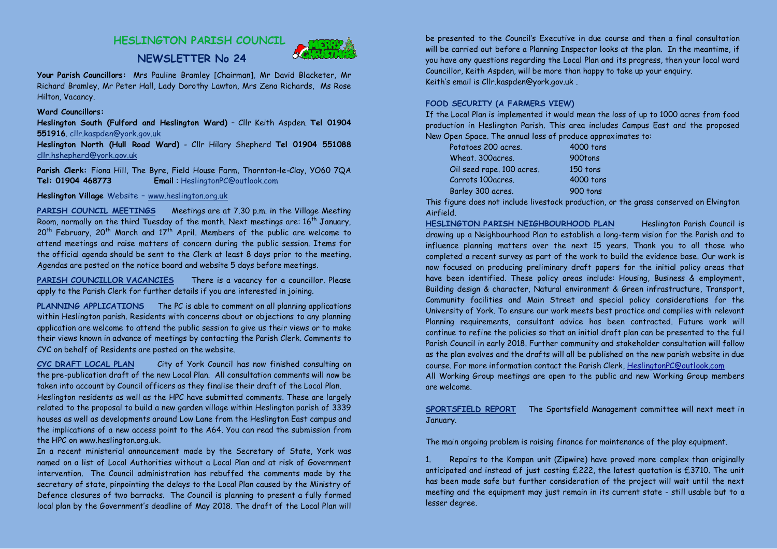# **HESLINGTON PARISH COUNCIL**



**NEWSLETTER No 24**

**Your Parish Councillors:** Mrs Pauline Bramley [Chairman], Mr David Blacketer, Mr Richard Bramley, Mr Peter Hall, Lady Dorothy Lawton, Mrs Zena Richards, Ms Rose Hilton, Vacancy.

## **Ward Councillors:**

 **Heslington South (Fulford and Heslington Ward)** – Cllr Keith Aspden. **Tel 01904 551916**. cllr.kaspden@york.gov.uk

 **Heslington North (Hull Road Ward)** - Cllr Hilary Shepherd **Tel 01904 551088**cllr.hshepherd@york.gov.uk

**Parish Clerk:** Fiona Hill, The Byre, Field House Farm, Thornton-le-Clay, YO60 7QA **Tel: 01904 468773Email** : HeslingtonPC@outlook.com

**Heslington Village** Website **–** www.heslington.org.uk

**PARISH COUNCIL MEETINGS** Meetings are at 7.30 p.m. in the Village Meeting Room, normally on the third Tuesday of the month. Next meetings are:  $16<sup>th</sup>$  January, 20<sup>th</sup> February, 20<sup>th</sup> March and 17<sup>th</sup> April. Members of the public are welcome to attend meetings and raise matters of concern during the public session. Items for the official agenda should be sent to the Clerk at least 8 days prior to the meeting. Agendas are posted on the notice board and website 5 days before meetings.

**PARISH COUNCILLOR VACANCIES** There is a vacancy for a councillor. Please apply to the Parish Clerk for further details if you are interested in joining.

**PLANNING APPLICATIONS** The PC is able to comment on all planning applications within Heslington parish. Residents with concerns about or objections to any planning application are welcome to attend the public session to give us their views or to make their views known in advance of meetings by contacting the Parish Clerk. Comments to CYC on behalf of Residents are posted on the website.

**CYC DRAFT LOCAL PLAN** City of York Council has now finished consulting on the pre-publication draft of the new Local Plan. All consultation comments will now be taken into account by Council officers as they finalise their draft of the Local Plan.

 Heslington residents as well as the HPC have submitted comments. These are largely related to the proposal to build a new garden village within Heslington parish of 3339 houses as well as developments around Low Lane from the Heslington East campus and the implications of a new access point to the A64. You can read the submission from the HPC on www.heslington.org.uk.

In a recent ministerial announcement made by the Secretary of State, York was named on a list of Local Authorities without a Local Plan and at risk of Government intervention. The Council administration has rebuffed the comments made by the secretary of state, pinpointing the delays to the Local Plan caused by the Ministry of Defence closures of two barracks. The Council is planning to present a fully formed local plan by the Government's deadline of May 2018. The draft of the Local Plan will

be presented to the Council's Executive in due course and then a final consultation will be carried out before a Planning Inspector looks at the plan. In the meantime, if you have any questions regarding the Local Plan and its progress, then your local ward Councillor, Keith Aspden, will be more than happy to take up your enquiry. Keith's email is Cllr.kaspden@york.gov.uk .

## **FOOD SECURITY (A FARMERS VIEW)**

 If the Local Plan is implemented it would mean the loss of up to 1000 acres from food production in Heslington Parish. This area includes Campus East and the proposed New Open Space. The annual loss of produce approximates to:

| Potatoes 200 acres.       | 4000 tons |
|---------------------------|-----------|
| Wheat, 300 acres.         | 900tons   |
| Oil seed rape. 100 acres. | 150 tons  |
| Carrots 100acres.         | 4000 tons |
| Barley 300 acres.         | 900 tons  |
|                           |           |

 This figure does not include livestock production, or the grass conserved on Elvington Airfield.

**HESLINGTON PARISH NEIGHBOURHOOD PLAN** Heslington Parish Council is drawing up a Neighbourhood Plan to establish a long-term vision for the Parish and to influence planning matters over the next 15 years. Thank you to all those who completed a recent survey as part of the work to build the evidence base. Our work is now focused on producing preliminary draft papers for the initial policy areas that have been identified. These policy areas include: Housing, Business & employment, Building design & character, Natural environment & Green infrastructure, Transport, Community facilities and Main Street and special policy considerations for the University of York. To ensure our work meets best practice and complies with relevant Planning requirements, consultant advice has been contracted. Future work will continue to refine the policies so that an initial draft plan can be presented to the full Parish Council in early 2018. Further community and stakeholder consultation will follow as the plan evolves and the drafts will all be published on the new parish website in due course. For more information contact the Parish Clerk, HeslingtonPC@outlook.com All Working Group meetings are open to the public and new Working Group members are welcome.

**SPORTSFIELD REPORT** The Sportsfield Management committee will next meet in January.

The main ongoing problem is raising finance for maintenance of the play equipment.

1. Repairs to the Kompan unit (Zipwire) have proved more complex than originally anticipated and instead of just costing £222, the latest quotation is £3710. The unit has been made safe but further consideration of the project will wait until the next meeting and the equipment may just remain in its current state - still usable but to a lesser degree.